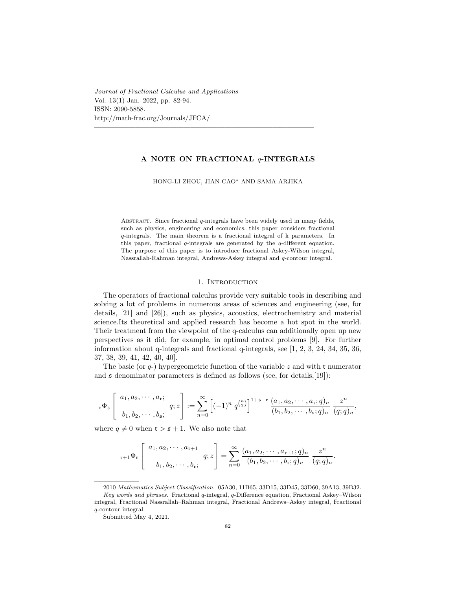*Journal of Fractional Calculus and Applications* Vol. 13(1) Jan. 2022, pp. 82-94. ISSN: 2090-5858. http://math-frac.org/Journals/JFCA/

### **A NOTE ON FRACTIONAL** *q***-INTEGRALS**

————————————————————————————————

HONG-LI ZHOU, JIAN CAO*∗* AND SAMA ARJIKA

Abstract. Since fractional *q*-integrals have been widely used in many fields, such as physics, engineering and economics, this paper considers fractional *q*-integrals. The main theorem is a fractional integral of k parameters. In this paper, fractional *q*-integrals are generated by the *q*-different equation. The purpose of this paper is to introduce fractional Askey-Wilson integral, Nassrallah-Rahman integral, Andrews-Askey integral and *q*-contour integral.

### 1. INTRODUCTION

The operators of fractional calculus provide very suitable tools in describing and solving a lot of problems in numerous areas of sciences and engineering (see, for details, [21] and [26]), such as physics, acoustics, electrochemistry and material science.Its theoretical and applied research has become a hot spot in the world. Their treatment from the viewpoint of the q-calculus can additionally open up new perspectives as it did, for example, in optimal control problems [9]. For further information about q-integrals and fractional q-integrals, see [1, 2, 3, 24, 34, 35, 36, 37, 38, 39, 41, 42, 40, 40].

The basic (or  $q$ -) hypergeometric function of the variable  $z$  and with **r** numerator and  $\mathfrak s$  denominator parameters is defined as follows (see, for details, [19]):

$$
\mathbf{r} \Phi_{\mathfrak{s}}\left[\begin{array}{c} a_1, a_2, \cdots, a_{\mathfrak{r}}; \\ b_1, b_2, \cdots, b_{\mathfrak{s}}; \end{array} g; z\right] := \sum_{n=0}^{\infty} \left[ (-1)^n q^{\binom{n}{2}} \right]^{1+\mathfrak{s}-\mathfrak{r}} \frac{(a_1, a_2, \cdots, a_{\mathfrak{r}}; q)_n}{(b_1, b_2, \cdots, b_{\mathfrak{s}}; q)_n} \frac{z^n}{(q; q)_n},
$$

where  $q \neq 0$  when  $\mathfrak{r} > \mathfrak{s} + 1$ . We also note that

$$
{}_{r+1}\Phi_r\left[\begin{array}{c} a_1, a_2, \cdots, a_{r+1} \\ b_1, b_2, \cdots, b_r \end{array} q; z\right] = \sum_{n=0}^{\infty} \frac{(a_1, a_2, \cdots, a_{r+1}; q)_n}{(b_1, b_2, \cdots, b_r; q)_n} \frac{z^n}{(q; q)_n}.
$$

<sup>2010</sup> *Mathematics Subject Classification.* 05A30, 11B65, 33D15, 33D45, 33D60, 39A13, 39B32. *Key words and phrases.* Fractional *q*-integral, *q*-Difference equation, Fractional Askey–Wilson integral, Fractional Nassrallah–Rahman integral, Fractional Andrews–Askey integral, Fractional *q*-contour integral.

Submitted May 4, 2021.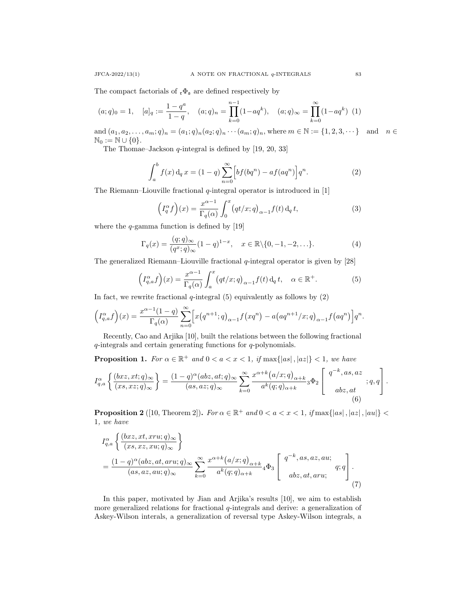The compact factorials of  $_{\mathfrak{r}}\Phi_{\mathfrak{s}}$  are defined respectively by

$$
(a;q)_0 = 1, \quad [a]_q := \frac{1-q^a}{1-q}, \quad (a;q)_n = \prod_{k=0}^{n-1} (1-aq^k), \quad (a;q)_{\infty} = \prod_{k=0}^{\infty} (1-aq^k) \tag{1}
$$

and  $(a_1, a_2, \ldots, a_m; q)_n = (a_1; q)_n (a_2; q)_n \cdots (a_m; q)_n$ , where  $m \in \mathbb{N} := \{1, 2, 3, \cdots\}$  and  $n \in \mathbb{N}$  $\mathbb{N}_0 := \mathbb{N} \cup \{0\}.$ 

The Thomae–Jackson *q*-integral is defined by [19, 20, 33]

$$
\int_{a}^{b} f(x) d_q x = (1-q) \sum_{n=0}^{\infty} \left[ b f (b q^n) - a f (a q^n) \right] q^n.
$$
 (2)

The Riemann–Liouville fractional *q*-integral operator is introduced in [1]

$$
\left(I_q^{\alpha}f\right)(x) = \frac{x^{\alpha-1}}{\Gamma_q(\alpha)} \int_0^x \left(qt/x; q\right)_{\alpha-1} f(t) \,d_q \,t,\tag{3}
$$

where the *q*-gamma function is defined by [19]

$$
\Gamma_q(x) = \frac{(q;q)_{\infty}}{(q^x;q)_{\infty}} (1-q)^{1-x}, \quad x \in \mathbb{R} \setminus \{0,-1,-2,\ldots\}.
$$
 (4)

The generalized Riemann–Liouville fractional *q*-integral operator is given by [28]

$$
\left(I_{q,a}^{\alpha}f\right)(x) = \frac{x^{\alpha-1}}{\Gamma_q(\alpha)} \int_a^x \left(qt/x; q\right)_{\alpha-1} f(t) \, \mathrm{d}_q \, t, \quad \alpha \in \mathbb{R}^+.
$$
 (5)

In fact, we rewrite fractional  $q$ -integral  $(5)$  equivalently as follows by  $(2)$ 

$$
\left(I_{q,a}^{\alpha}f\right)(x) = \frac{x^{\alpha-1}(1-q)}{\Gamma_q(\alpha)} \sum_{n=0}^{\infty} \left[ x(q^{n+1};q)_{\alpha-1} f(xq^n) - a\left(aq^{n+1}/x;q\right)_{\alpha-1} f(aq^n) \right] q^n.
$$

Recently, Cao and Arjika [10], built the relations between the following fractional *q*-integrals and certain generating functions for *q*-polynomials.

**Proposition 1.** For  $\alpha \in \mathbb{R}^+$  and  $0 < a < x < 1$ , if  $\max\{|as|,|as|\} < 1$ , we have

$$
I_{q,a}^{\alpha} \left\{ \frac{(bxz,xt;q)_{\infty}}{(xs,xz;q)_{\infty}} \right\} = \frac{(1-q)^{\alpha}(abz,at;q)_{\infty}}{(as,az;q)_{\infty}} \sum_{k=0}^{\infty} \frac{x^{\alpha+k}(a/x;q)_{\alpha+k}}{a^k(q;q)_{\alpha+k}} {}_3\Phi_2 \left[ \begin{array}{c} q^{-k},as,az \\ abz,at \end{array}; q,q \right].
$$

**Proposition 2** ([10, Theorem 2]). For  $\alpha \in \mathbb{R}^+$  and  $0 < a < x < 1$ , if  $\max\{|as|, |aa|, |au|\}$ 1*, we have*

$$
I_{q,a}^{\alpha} \left\{ \frac{(bxz,xt, xru;q)_{\infty}}{(xs, xz, xu;q)_{\infty}} \right\}
$$
  
= 
$$
\frac{(1-q)^{\alpha}(abz, at, aru;q)_{\infty}}{(as, az, au;q)_{\infty}} \sum_{k=0}^{\infty} \frac{x^{\alpha+k}(a/x;q)_{\alpha+k}}{a^k(q;q)_{\alpha+k}} 4\Phi_3 \left[ \begin{array}{c} q^{-k}, as, az, au; \\ abz, at, aru; \end{array} q;q \right].
$$
 (7)

In this paper, motivated by Jian and Arjika's results [10], we aim to establish more generalized relations for fractional *q*-integrals and derive: a generalization of Askey-Wilson interals, a generalization of reversal type Askey-Wilson integrals, a  $\overline{a}$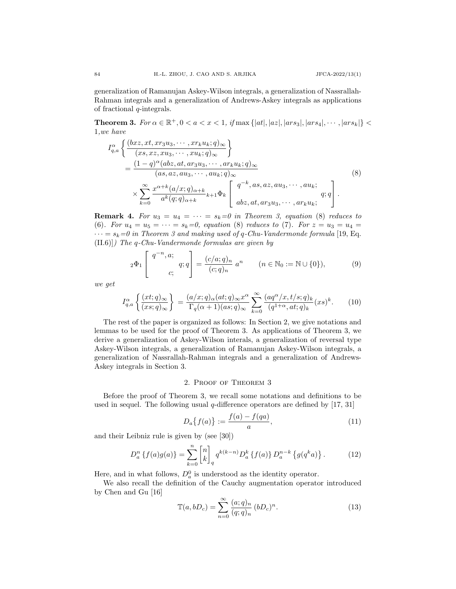generalization of Ramanujan Askey-Wilson integrals, a generalization of Nassrallah-Rahman integrals and a generalization of Andrews-Askey integrals as applications of fractional *q*-integrals.

**Theorem 3.** For  $\alpha \in \mathbb{R}^+, 0 < a < x < 1$ , if  $\max\{|at|, |az|, |ars_3|, |ars_4|, \cdots, |ars_k|\}$ 1*,we have*

$$
I_{q,a}^{\alpha} \left\{ \frac{(bxz,xt, xr_3u_3, \cdots, xr_ku_k;q)_\infty}{(xs, xz, xu_3, \cdots, xu_k;q)_\infty} \right\}
$$
  
= 
$$
\frac{(1-q)^{\alpha}(abz, at, ar_3u_3, \cdots, ar_ku_k;q)_\infty}{(as, az, au_3, \cdots, au_k;q)_\infty}
$$
  

$$
\times \sum_{k=0}^{\infty} \frac{x^{\alpha+k}(a/x;q)_{\alpha+k}}{a^k(q;q)_{\alpha+k}} k+1} \Phi_k \left[ \begin{array}{c} q^{-k}, as, az, au_3, \cdots, au_k; \\ abz, at, ar_3u_3, \cdots, ar_ku_k; \end{array} \right].
$$
 (8)

**Remark 4.** For  $u_3 = u_4 = \cdots = s_k = 0$  in Theorem 3, equation (8) reduces to (6)*. For*  $u_4 = u_5 = \cdots = s_k = 0$ , equation (8) reduces to (7)*. For*  $z = u_3 = u_4 =$  $\cdots = s_k = 0$  in Theorem 3 and making used of q-Chu-Vandermonde formula [19, Eq. (II.6)]*) The q-Chu-Vandermonde formulas are given by*

$$
{}_2\Phi_1\left[\begin{array}{cc} q^{-n},a; \\ & q;q \end{array}\right] = \frac{(c/a;q)_n}{(c;q)_n} a^n \qquad (n \in \mathbb{N}_0 := \mathbb{N} \cup \{0\}), \tag{9}
$$

*we get*

$$
I_{q,a}^{\alpha} \left\{ \frac{(xt;q)_{\infty}}{(xs;q)_{\infty}} \right\} = \frac{(a/x;q)_{\alpha}(at;q)_{\infty}x^{\alpha}}{\Gamma_q(\alpha+1)(as;q)_{\infty}} \sum_{k=0}^{\infty} \frac{(aq^{\alpha}/x,t/s;q)_k}{(q^{1+\alpha},at;q)_k} (xs)^k.
$$
 (10)

The rest of the paper is organized as follows: In Section 2, we give notations and lemmas to be used for the proof of Theorem 3. As applications of Theorem 3, we derive a generalization of Askey-Wilson interals, a generalization of reversal type Askey-Wilson integrals, a generalization of Ramanujan Askey-Wilson integrals, a generalization of Nassrallah-Rahman integrals and a generalization of Andrews-Askey integrals in Section 3.

#### 2. Proof of Theorem 3

Before the proof of Theorem 3, we recall some notations and definitions to be used in sequel. The following usual *q*-difference operators are defined by [17, 31]

$$
D_a\{f(a)\} := \frac{f(a) - f(qa)}{a},\tag{11}
$$

and their Leibniz rule is given by (see [30])

$$
D_a^n \{ f(a)g(a) \} = \sum_{k=0}^n \begin{bmatrix} n \\ k \end{bmatrix}_q q^{k(k-n)} D_a^k \{ f(a) \} D_a^{n-k} \{ g(q^k a) \}.
$$
 (12)

Here, and in what follows,  $D_a^0$  is understood as the identity operator.

We also recall the definition of the Cauchy augmentation operator introduced by Chen and Gu [16]

$$
\mathbb{T}(a, bD_c) = \sum_{n=0}^{\infty} \frac{(a;q)_n}{(q;q)_n} (bD_c)^n.
$$
 (13)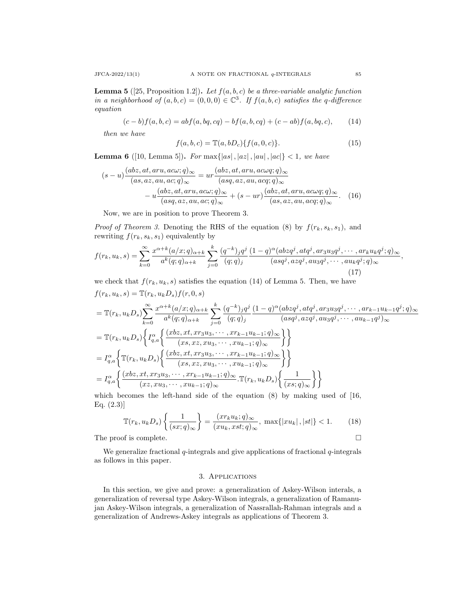**Lemma 5** ([25, Proposition 1.2]). Let  $f(a, b, c)$  be a three-variable analytic function *in a neighborhood of*  $(a, b, c) = (0, 0, 0) \in \mathbb{C}^3$ . If  $f(a, b, c)$  satisfies the q-difference *equation*

$$
(c-b)f(a,b,c) = abf(a,bq,cq) - bf(a,b,cq) + (c-ab)f(a,bq,c),
$$
 (14)

*then we have*

$$
f(a, b, c) = \mathbb{T}(a, bD_c) \{ f(a, 0, c) \}.
$$
 (15)

**Lemma 6** ([10, Lemma 5]). *For* max $\{|as|, |aa|, |aa|, |ac|\} < 1$ , we have

$$
(s-u)\frac{(abz,at,aru,ac\omega;q)_{\infty}}{(as,az,au,ac;q)_{\infty}} = ur\frac{(abz,at,aru,ac\omega;q)_{\infty}}{(asq,az,au,acq;q)_{\infty}}
$$

$$
-u\frac{(abz,at,aru,ac\omega;q)_{\infty}}{(asq,az,au,ac;q)_{\infty}} + (s-ur)\frac{(abz,at,aru,ac\omega;q)_{\infty}}{(as,az,au,acq;q)_{\infty}}.
$$
 (16)

Now, we are in position to prove Theorem 3.

*Proof of Theorem 3.* Denoting the RHS of the equation (8) by  $f(r_k, s_k, s_1)$ , and rewriting  $f(r_k, s_k, s_1)$  equivalently by

$$
f(r_k, u_k, s) = \sum_{k=0}^{\infty} \frac{x^{\alpha+k}(a/x;q)_{\alpha+k}}{a^k(q;q)_{\alpha+k}} \sum_{j=0}^k \frac{(q^{-k})_j q^j}{(q;q)_j} \frac{(1-q)^\alpha (abzq^j, atq^j, ar_3u_3q^j, \cdots, ar_ku_kq^j;q)_{\infty}}{(asq^j, azq^j, au_3q^j, \cdots, au_kq^j;q)_{\infty}},
$$
\n(17)

we check that  $f(r_k, u_k, s)$  satisfies the equation (14) of Lemma 5. Then, we have

$$
f(r_k, u_k, s) = \mathbb{T}(r_k, u_k D_s) f(r, 0, s)
$$
  
\n
$$
= \mathbb{T}(r_k, u_k D_s) \sum_{k=0}^{\infty} \frac{x^{\alpha+k}(a/x; q)_{\alpha+k}}{a^k(q; q)_{\alpha+k}} \sum_{j=0}^k \frac{(q^{-k})_j q^j}{(q; q)_j} \frac{(1-q)^{\alpha} (abz q^j, at q^j, ar_3 u_3 q^j, \dots, ar_{k-1} u_{k-1} q^j; q)_{\infty}}{(as q^j, az q^j, au_3 q^j, \dots, au_{k-1} q^j)_{\infty}}
$$
  
\n
$$
= \mathbb{T}(r_k, u_k D_s) \left\{ I_{q,a}^{\alpha} \left\{ \frac{(xbz, xt, xr_3 u_3, \dots, xr_{k-1} u_{k-1}; q)_{\infty}}{(xs, xz, xu_3, \dots, xu_{k-1}; q)_{\infty}} \right\} \right\}
$$
  
\n
$$
= I_{q,a}^{\alpha} \left\{ \mathbb{T}(r_k, u_k D_s) \left\{ \frac{(xbz, xt, xr_3 u_3, \dots, xr_{k-1} u_{k-1}; q)_{\infty}}{(xs, xz, xu_3, \dots, xu_{k-1}; q)_{\infty}} \right\} \right\}
$$
  
\n
$$
= I_{q,a}^{\alpha} \left\{ \frac{(xbz, xt, xr_3 u_3, \dots, xr_{k-1} u_{k-1}; q)_{\infty}}{(xz, xu_3, \dots, xu_{k-1}; q)_{\infty}} \mathbb{T}(r_k, u_k D_s) \left\{ \frac{1}{(xs; q)_{\infty}} \right\} \right\}
$$

which becomes the left-hand side of the equation  $(8)$  by making used of  $|16$ , Eq.  $(2.3)$ ]

$$
\mathbb{T}(r_k, u_k D_s) \left\{ \frac{1}{(sx; q)_{\infty}} \right\} = \frac{(xr_k u_k; q)_{\infty}}{(x u_k, xst; q)_{\infty}}, \ \max\{|x u_k|, |st|\} < 1. \tag{18}
$$

The proof is complete.

We generalize fractional *q*-integrals and give applications of fractional *q*-integrals as follows in this paper.

# 3. Applications

In this section, we give and prove: a generalization of Askey-Wilson interals, a generalization of reversal type Askey-Wilson integrals, a generalization of Ramanujan Askey-Wilson integrals, a generalization of Nassrallah-Rahman integrals and a generalization of Andrews-Askey integrals as applications of Theorem 3.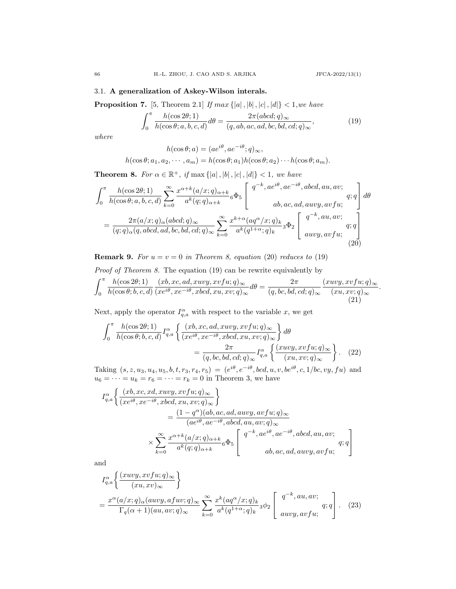*.*

## 3.1. **A generalization of Askey-Wilson interals.**

**Proposition 7.** [5, Theorem 2.1] *If*  $max\{|a|, |b|, |c|, |d|\} < 1,$ *we have* 

$$
\int_0^\pi \frac{h(\cos 2\theta; 1)}{h(\cos \theta; a, b, c, d)} d\theta = \frac{2\pi (abcd; q)_{\infty}}{(q, ab, ac, ad, bc, bd, cd; q)_{\infty}},
$$
(19)

*where*

$$
h(\cos \theta; a) = (ae^{i\theta}, ae^{-i\theta}; q)_{\infty},
$$
  

$$
h(\cos \theta; a_1, a_2, \cdots, a_m) = h(\cos \theta; a_1)h(\cos \theta; a_2) \cdots h(\cos \theta; a_m).
$$

**Theorem 8.** *For*  $\alpha \in \mathbb{R}^+$ , *if* max  $\{|a|, |b|, |c|, |d|\} < 1$ , we have

$$
\int_0^\pi \frac{h(\cos 2\theta; 1)}{h(\cos \theta; a, b, c, d)} \sum_{k=0}^\infty \frac{x^{\alpha+k}(a/x; q)_{\alpha+k}}{a^k(q; q)_{\alpha+k}} 6\Phi_5 \begin{bmatrix} q^{-k}, a e^{i\theta}, a e^{-i\theta}, abcd, au, av; \\ ab, ac, ad, auvy, avfu; \end{bmatrix} d\theta
$$

$$
= \frac{2\pi (a/x; q)_{\alpha} (abcd; q)_{\infty}}{(q; q)_{\alpha} (q, abcd, ad, bc, bd, cd; q)_{\infty}} \sum_{k=0}^\infty \frac{x^{k+\alpha} (aq^{\alpha}/x; q)_k}{a^k(q^{1+\alpha}; q)_k} 3\Phi_2 \begin{bmatrix} q^{-k}, au, av; \\ auvy, avfu; \end{bmatrix} d\theta
$$
(20)

**Remark 9.** *For*  $u = v = 0$  *in Theorem 8, equation* (20) *reduces to* (19)

Proof of Theorem 8. The equation (19) can be rewrite equivalently by  
\n
$$
\int_0^{\pi} \frac{h(\cos 2\theta; 1)}{h(\cos \theta; b, c, d)} \frac{(xb, xc, ad, xuvy, xvfu; q)_{\infty}}{(xe^{i\theta}, xe^{-i\theta}, xbcd, xu, xv; q)_{\infty}} d\theta = \frac{2\pi}{(q, bc, bd, cd; q)_{\infty}} \frac{(xuvy, xvfu; q)_{\infty}}{(xu, xv; q)_{\infty}}
$$
\n(21)

Next, apply the operator  $I_{q,a}^{\alpha}$  with respect to the variable *x*, we get

$$
\int_0^\pi \frac{h(\cos 2\theta; 1)}{h(\cos \theta; b, c, d)} I_{q,a}^\alpha \left\{ \frac{(xb, xc, ad, xuvy, xvfu; q)_{\infty}}{(xe^{i\theta}, xe^{-i\theta}, xbcd, xu, xv; q)_{\infty}} \right\} d\theta
$$

$$
= \frac{2\pi}{(q, bc, bd, cd; q)_{\infty}} I_{q,a}^\alpha \left\{ \frac{(xuvy, xvfu; q)_{\infty}}{(xu, xv; q)_{\infty}} \right\}.
$$
 (22)

Taking  $(s, z, u_3, u_4, u_5, b, t, r_3, r_4, r_5) = (e^{i\theta}, e^{-i\theta}, bcd, u, v, be^{i\theta}, c, 1/bc, vy, fu)$  and  $u_6 = \cdots = u_k = r_6 = \cdots = r_k = 0$  in Theorem 3, we have

$$
I_{q,a}^{\alpha} \left\{ \frac{(xb, xc, xd, xuvy, xvfu; q)_{\infty}}{(xe^{i\theta}, xe^{-i\theta}, xbcd, xu, xv; q)_{\infty}} \right\}
$$
  
= 
$$
\frac{(1 - q^{\alpha})(ab, ac, ad, auvy, avfu; q)_{\infty}}{(ae^{i\theta}, ae^{-i\theta}, abcd, au, av; q)_{\infty}}
$$
  

$$
\times \sum_{k=0}^{\infty} \frac{x^{\alpha+k}(a/x; q)_{\alpha+k}}{a^k(q; q)_{\alpha+k}} 6\Phi_5 \left[\begin{array}{c} q^{-k}, ae^{i\theta}, ae^{-i\theta}, abcd, au, av; \\ \\ ab, ac, ad, auvy, avfu; \end{array} \right]
$$

and

$$
I_{q,a}^{\alpha} \left\{ \frac{(xuvy, xvfu; q)_{\infty}}{(xu, xv)_{\infty}} \right\}
$$
  
= 
$$
\frac{x^{\alpha} (a/x; q)_{\alpha} (auvy, afuv; q)_{\infty}}{\Gamma_q(\alpha + 1)(au, av; q)_{\infty}} \sum_{k=0}^{\infty} \frac{x^k (aq^{\alpha}/x; q)_k}{a^k (q^{1+\alpha}; q)_k} {}_3\phi_2 \left[ \begin{array}{c} q^{-k}, au, av; \\ auvy, avfu; \end{array} \right].
$$
 (23)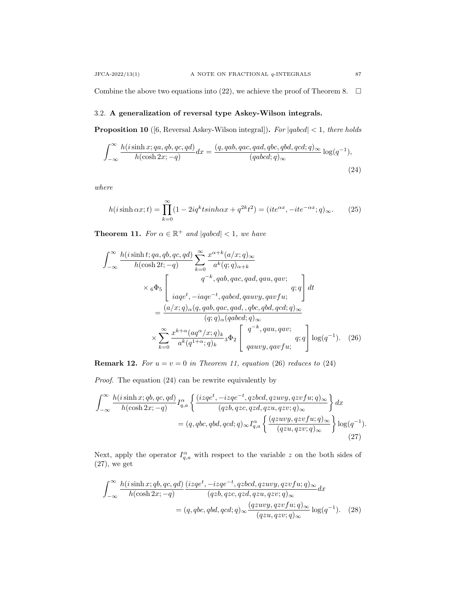Combine the above two equations into (22), we achieve the proof of Theorem 8.  $\Box$ 

## 3.2. **A generalization of reversal type Askey-Wilson integrals.**

**Proposition 10** ([6, Reversal Askey-Wilson integral])**.** *For |qabcd| <* 1*, there holds*

$$
\int_{-\infty}^{\infty} \frac{h(i\sinh x; qa, qb, qc, qd)}{h(\cosh 2x; -q)} dx = \frac{(q, qab, qac, qad, qbc, qbd, qcd; q)_{\infty}}{(qabcd; q)_{\infty}} \log(q^{-1}),
$$
\n(24)

*where*

$$
h(i\sinh\alpha x;t) = \prod_{k=0}^{\infty} (1 - 2iq^k t \sinh\alpha x + q^{2k} t^2) = (ite^{\alpha x}, -ite^{-\alpha x}; q)_{\infty}.
$$
 (25)

**Theorem 11.** For  $\alpha \in \mathbb{R}^+$  and  $|qabcd| < 1$ , we have

$$
\int_{-\infty}^{\infty} \frac{h(i\sinh t; qa, qb, qc, qd)}{h(\cosh 2t; -q)} \sum_{k=0}^{\infty} \frac{x^{\alpha+k}(a/x; q)_{\infty}}{a^k(q; q)_{\alpha+k}}
$$
\n
$$
\times {}_6\Phi_5 \begin{bmatrix} q^{-k}, qab, qac, qad, qau, qav; \\ iaqe^t, -iaqe^{-t}, qabcd, qauvy, qavfu; \\ iaqe^t, -iaqe^{-t}, qabcd, qawvy, qavfu; \end{bmatrix} dt
$$
\n
$$
= \frac{(a/x; q)_{\alpha}(q, qab, qac, qad, , qbc, qbd, qcd;q)_{\infty}}{(q; q)_{\alpha}(qabcd;q)_{\infty}}
$$
\n
$$
\times \sum_{k=0}^{\infty} \frac{x^{k+\alpha}(aq^{\alpha}/x; q)_{k}}{a^k(q^{1+\alpha}; q)_{k}} {}_3\Phi_2 \begin{bmatrix} q^{-k}, qau, qav; \\ qauvy, qavfu; \end{bmatrix} \log(q^{-1}). \quad (26)
$$

**Remark 12.** For  $u = v = 0$  in Theorem 11, equation (26) reduces to (24)

*Proof.* The equation (24) can be rewrite equivalently by

$$
\int_{-\infty}^{\infty} \frac{h(i\sinh x; qb, qc, qd)}{h(\cosh 2x; -q)} I_{q,a}^{\alpha} \left\{ \frac{(izqe^t, -izqe^{-t}, qzbcd, qzuvy, qzvfu; q)_{\infty}}{(qzb, qzc, qzd, qzu, qzv; q)_{\infty}} \right\} dx
$$

$$
= (q, qbc, qbd, qcd; q)_{\infty} I_{q,a}^{\alpha} \left\{ \frac{(qzuvy, qzvfu; q)_{\infty}}{(qzu, qzv; q)_{\infty}} \right\} \log(q^{-1}).
$$
(27)

Next, apply the operator  $I_{q,a}^{\alpha}$  with respect to the variable *z* on the both sides of (27), we get

$$
\int_{-\infty}^{\infty} \frac{h(i\sinh x; qb, qc, qd)}{h(\cosh 2x; -q)} \frac{(izqe^t, -izqe^{-t}, qzbcd, qzuvy, qzvfu; q)_{\infty}}{(qzb, qzc, qzd, qzu, qzv; q)_{\infty}} dx
$$

$$
= (q, qbc, qbd, qcd; q)_{\infty} \frac{(qzuvy, qzvfu; q)_{\infty}}{(qzu, qzv; q)_{\infty}} \log(q^{-1}). \quad (28)
$$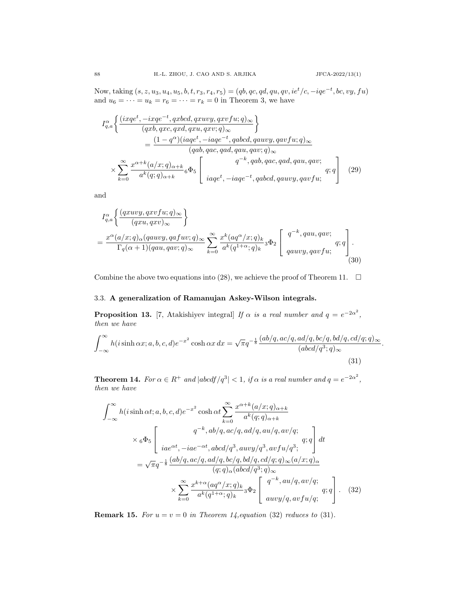*.*

 $\text{Now, taking } (s, z, u_3, u_4, u_5, b, t, r_3, r_4, r_5) = (qb, qc, qd, qu, qv, ie^t/c, -iqe^{-t}, bc, vy, fu)$ and  $u_6 = \cdots = u_k = r_6 = \cdots = r_k = 0$  in Theorem 3, we have

$$
I_{q,a}^{\alpha} \left\{ \frac{(ixqe^t, -ixqe^{-t}, qxbcd, qxuvy, qxvfu; q)_{\infty}}{(qxb, qxc, qxd, qxu, qxv; q)_{\infty}} \right\}
$$
  
= 
$$
\frac{(1 - q^{\alpha})(iaqe^t, -iaqe^{-t}, qabcd, qauvy, qavfu; q)_{\infty}}{(qab, qac, qad, qau, qav; q)_{\infty}}
$$
  

$$
\times \sum_{k=0}^{\infty} \frac{x^{\alpha+k}(a/x; q)_{\alpha+k}}{a^k(q; q)_{\alpha+k}} 6\Phi_5 \left[ \frac{q^{-k}, qab, qac, qad, qau, qav; q;q}{iaqe^t, -iaqe^{-t}, qabcd, qauvy, qavfu; q;q} \right] (29)
$$

and

$$
I_{q,a}^{\alpha} \left\{ \frac{(q x u v y, q x v f u; q)_{\infty}}{(q x u, q x v)_{\infty}} \right\}
$$
  
= 
$$
\frac{x^{\alpha} (a/x; q)_{\alpha} (q a u v y, q a f u v; q)_{\infty}}{\Gamma_q(\alpha + 1) (q a u, q a v; q)_{\infty}} \sum_{k=0}^{\infty} \frac{x^k (a q^{\alpha}/x; q)_k}{a^k (q^{1+\alpha}; q)_k} 3 \Phi_2 \left[ \begin{array}{c} q^{-k}, q a u, q a v; \\ q a u v y, q a v f u; \end{array} \right].
$$
  
(30)

Combine the above two equations into (28), we achieve the proof of Theorem 11.  $\Box$ 

# 3.3. **A generalization of Ramanujan Askey-Wilson integrals.**

**Proposition 13.** [7, Atakishiyev integral] *If*  $\alpha$  *is a real number and*  $q = e^{-2\alpha^2}$ , *then we have*

$$
\int_{-\infty}^{\infty} h(i\sinh\alpha x; a, b, c, d)e^{-x^2} \cosh\alpha x \, dx = \sqrt{\pi}q^{-\frac{1}{8}} \frac{(ab/q, ac/q, ad/q, bc/q, bd/q, cd/q; q)_{\infty}}{(abcd/q^3; q)_{\infty}}
$$
\n(31)

**Theorem 14.** For  $\alpha \in R^+$  and  $|abcdf/q^3| < 1$ , if  $\alpha$  is a real number and  $q = e^{-2\alpha^2}$ , *then we have*

$$
\int_{-\infty}^{\infty} h(i\sinh \alpha t; a, b, c, d)e^{-x^{2}} \cosh \alpha t \sum_{k=0}^{\infty} \frac{x^{\alpha+k}(a/x;q)_{\alpha+k}}{a^{k}(q;q)_{\alpha+k}}
$$
  
\n
$$
\times \, {}_{6}\Phi_{5}\left[\begin{array}{c} q^{-k}, ab/q, ac/q, ad/q, au/q, av/q; \\ iae^{\alpha t}, -iae^{-\alpha t}, abcd/q^{3}, awy/q^{3}, avfu/q^{3}; \\[1mm] iae^{\alpha t}, -iae^{-\alpha t}, abcd/q^{3}, awy/q^{3}, avfu/q^{3}; \end{array}\right] dt
$$
  
\n
$$
= \sqrt{\pi}q^{-\frac{1}{8}} \frac{(ab/q, ac/q, ad/q, bc/q, bd/q, cd/q;q)_{\infty}(a/x;q)_{\alpha}}{(q;q)_{\alpha}(abcd/q^{3};q)_{\infty}} \times \sum_{k=0}^{\infty} \frac{x^{k+\alpha}(aq^{\alpha}/x;q)_{k}}{a^{k}(q^{1+\alpha};q)_{k}} {}_{3}\Phi_{2}\left[\begin{array}{c} q^{-k}, au/q, av/q; \\ auvy/q, avfu/q; \end{array}\right]. \quad (32)
$$

**Remark 15.** For  $u = v = 0$  in Theorem 14, equation (32) reduces to (31).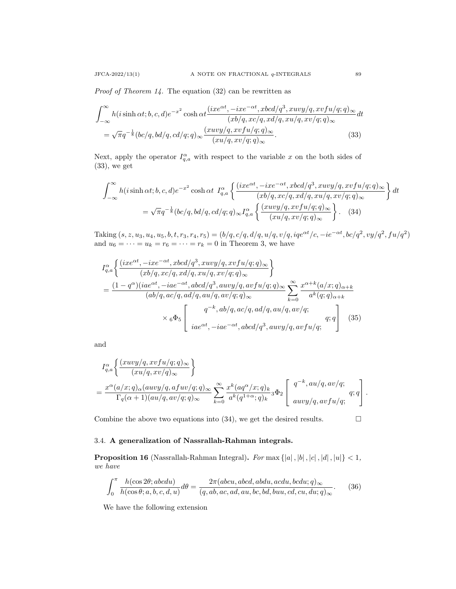*Proof of Theorem 14.* The equation (32) can be rewritten as

$$
\int_{-\infty}^{\infty} h(i\sinh\alpha t; b, c, d)e^{-x^2} \cosh\alpha t \frac{(ix e^{\alpha t}, -ix e^{-\alpha t}, x b c d/q^3, x u v y/q, x v f u/q; q)_{\infty}}{(x b/q, x c/q, x d/q, x u/q, x v/q; q)_{\infty}} dt
$$

$$
= \sqrt{\pi} q^{-\frac{1}{8}} (bc/q, bd/q, cd/q; q)_{\infty} \frac{(x u v y/q, x v f u/q; q)_{\infty}}{(x u/q, x v/q; q)_{\infty}}.
$$
(33)

Next, apply the operator  $I_{q,a}^{\alpha}$  with respect to the variable x on the both sides of  $(33)$ , we get

$$
\int_{-\infty}^{\infty} h(i\sinh\alpha t; b, c, d)e^{-x^2} \cosh\alpha t \ I_{q,a}^{\alpha} \left\{ \frac{(ixe^{\alpha t}, -ixe^{-\alpha t}, xbcd/q^3, xuvy/q, xvfu/q;q)_{\infty}}{(xb/q, xc/q, xd/q, xu/q, xv/q;q)_{\infty}} \right\} dt
$$

$$
= \sqrt{\pi}q^{-\frac{1}{8}}(bc/q, bd/q, cd/q;q)_{\infty}I_{q,a}^{\alpha} \left\{ \frac{(xuvy/q, xvfu/q;q)_{\infty}}{(xu/q, xv/q;q)_{\infty}} \right\}.
$$
(34)

 $\text{Taking } (s, z, u_3, u_4, u_5, b, t, r_3, r_4, r_5) = (b/q, c/q, d/q, u/q, v/q, iqe^{\alpha t}/c, -ie^{-\alpha t}, bc/q^2, vy/q^2, fu/q^2)$ and  $u_6 = \cdots = u_k = r_6 = \cdots = r_k = 0$  in Theorem 3, we have

$$
I_{q,a}^{\alpha} \left\{ \frac{(ixe^{\alpha t}, -ixe^{-\alpha t}, xbcd/q^3, xuvy/q, xvfu/q;q)_{\infty}}{(xb/q, xc/q, xd/q, xu/q, xv/q;q)_{\infty}} \right\}
$$
  
= 
$$
\frac{(1 - q^{\alpha})(iae^{\alpha t}, -iae^{-\alpha t}, abcd/q^3, auvy/q, avfu/q;q)_{\infty}}{(ab/q, ac/q, ad/q, au/q, av/q;q)_{\infty}} \sum_{k=0}^{\infty} \frac{x^{\alpha+k}(a/x;q)_{\alpha+k}}{a^k(q;q)_{\alpha+k}}
$$
  

$$
\times {}_6\Phi_5 \left[ \frac{q^{-k}, ab/q, ac/q, ad/q, au/q, av/q;}{iae^{\alpha t}, -iae^{-\alpha t}, abcd/q^3, auvy/q, avfu/q;} q; q \right] (35)
$$

and

$$
\begin{split} &I_{q,a}^{\alpha}\bigg\{\frac{(xuvy/q,xvfu/q;q)_\infty}{(xu/q,xv/q)_\infty}\bigg\}\\ &=\frac{x^\alpha(a/x;q)_\alpha(auvy/q,afw/q;q)_\infty}{\Gamma_q(\alpha+1)(au/q,av/q;q)_\infty}\sum_{k=0}^\infty\frac{x^k(aq^\alpha/x;q)_k}{a^k(q^{1+\alpha};q)_k}{}_3\Phi_2\left[\begin{array}{c}q^{-k},au/q,av/q;\\auvy/q,avfu/q;\end{array} q;q\right]. \end{split}
$$

Combine the above two equations into (34), we get the desired results.  $\Box$ 

# 3.4. **A generalization of Nassrallah-Rahman integrals.**

**Proposition 16** (Nassrallah-Rahman Integral). For max  $\{|a|, |b|, |c|, |d|, |u|\} < 1$ , *we have*

$$
\int_0^\pi \frac{h(\cos 2\theta; abcdu)}{h(\cos \theta; a, b, c, d, u)} d\theta = \frac{2\pi(abcu, abcd, abdu, acdu, bcdu; q)_{\infty}}{(q, ab, ac, ad, au, bc, bd, buu, cd, cu, du; q)_{\infty}}.
$$
 (36)

We have the following extension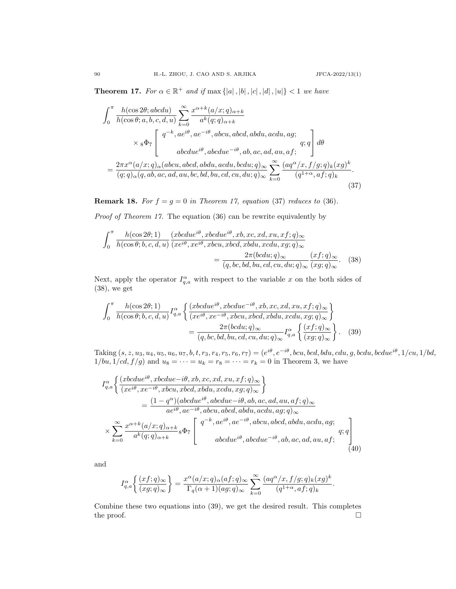**Theorem 17.** For  $\alpha \in \mathbb{R}^+$  and if  $\max\{|a|, |b|, |c|, |d|, |u|\} < 1$  we have

$$
\int_{0}^{\pi} \frac{h(\cos 2\theta; abcdu)}{h(\cos \theta; a, b, c, d, u)} \sum_{k=0}^{\infty} \frac{x^{\alpha+k}(a/x; q)_{\alpha+k}}{a^k(q; q)_{\alpha+k}} \times \frac{1}{8\Phi_7} \left[ \begin{array}{c} q^{-k}, a e^{i\theta}, a e^{-i\theta}, abcu, abcd, abdu, acdu, ag; \\ a b c due^{i\theta}, abc due^{-i\theta}, ab, ac, ad, au, af; \end{array} \right] d\theta
$$
\n
$$
= \frac{2\pi x^{\alpha}(a/x; q)_{\alpha}(abcu, abcd, abdu, acdu, bcdu; q)_{\infty}}{(q; q)_{\alpha}(q, ab, ac, ad, au, bc, bd, bu, cd, cu, du; q)_{\infty}} \sum_{k=0}^{\infty} \frac{(aq^{\alpha}/x, f/g; q)_{k}(xg)^{k}}{(q^{1+\alpha}, af; q)_{k}}.
$$
\n(37)

**Remark 18.** *For*  $f = g = 0$  *in Theorem 17, equation* (37) *reduces to* (36)*.* 

*Proof of Theorem 17.* The equation (36) can be rewrite equivalently by

$$
\int_{0}^{\pi} \frac{h(\cos 2\theta; 1)}{h(\cos \theta; b, c, d, u)} \frac{(xbc d u e^{i\theta}, x b c d u e^{i\theta}, x b, x c, x d, x u, x f; q)_{\infty}}{(x e^{i\theta}, x e^{i\theta}, x b c u, x b c d, x b d u, x c d u, x g; q)_{\infty}} = \frac{2\pi (bcd u; q)_{\infty}}{(q, bc, bd, bu, cd, cu, du; q)_{\infty}} \frac{(xf; q)_{\infty}}{(x g; q)_{\infty}}.
$$
(38)

Next, apply the operator  $I_{q,a}^{\alpha}$  with respect to the variable x on the both sides of (38), we get

$$
\int_{0}^{\pi} \frac{h(\cos 2\theta; 1)}{h(\cos \theta; b, c, d, u)} I_{q,a}^{\alpha} \left\{ \frac{(xbcdu e^{i\theta}, xbcdu e^{-i\theta}, xb, xc, xd, xu, xf; q)_{\infty}}{(xe^{i\theta}, xe^{-i\theta}, xbcu, xbcd, xbdu, xcdu, xg; q)_{\infty}} \right\}
$$

$$
= \frac{2\pi (bcdu; q)_{\infty}}{(q, bc, bd, bu, cd, cu, du; q)_{\infty}} I_{q,a}^{\alpha} \left\{ \frac{(xf; q)_{\infty}}{(xg; q)_{\infty}} \right\}. \quad (39)
$$

 $\text{Taking } (s, z, u_3, u_4, u_5, u_6, u_7, b, t, r_3, r_4, r_5, r_6, r_7) = (e^{i\theta}, e^{-i\theta}, bcu, bcd, bdu, cdu, g, bcdu, bcdue^{i\theta}, 1/cu, 1/bd,$  $1/bu, 1/cd, f/g$  and  $u_8 = \cdots = u_k = r_8 = \cdots = r_k = 0$  in Theorem 3, we have

$$
I_{q,a}^{\alpha} \left\{ \frac{\left(xbcdu e^{i\theta}, xbcdu e^{-i\theta}, xb, xc, xd, xu, xf; q\right)_{\infty}}{\left(xe^{i\theta}, xe^{-i\theta}, xbcu, xbcd, xbdu, xcdu, xg; q\right)_{\infty}} \right\}
$$
  
= 
$$
\frac{(1 - q^{\alpha})(abcdu e^{i\theta}, abcdu e^{-i\theta}, ab, ac, ad, au, af; q)_{\infty}}{ae^{i\theta}, ae^{-i\theta}, abcu, abcd, abdu, acdu, ag; q)_{\infty}}
$$
  

$$
\times \sum_{k=0}^{\infty} \frac{x^{\alpha+k}(a/x; q)_{\alpha+k}}{a^k(q; q)_{\alpha+k}} 8\Phi_7 \left[ \begin{array}{c} q^{-k}, ae^{i\theta}, ae^{-i\theta}, abcu, abcd, abdu, acdu, ag; q; q \end{array} \right]
$$
  
abcdu e^{i\theta}, abcdu e^{-i\theta}, ab, ac, ad, au, af; (40)

and

$$
I_{q,a}^{\alpha} \left\{ \frac{(xf;q)_{\infty}}{(xg;q)_{\infty}} \right\} = \frac{x^{\alpha} (a/x;q)_{\alpha} (af;q)_{\infty}}{\Gamma_q(\alpha+1)(ag;q)_{\infty}} \sum_{k=0}^{\infty} \frac{(aq^{\alpha}/x,f/g;q)_k (xg)^k}{(q^{1+\alpha},af;q)_k}.
$$

Combine these two equations into (39), we get the desired result. This completes the proof.  $\hfill \square$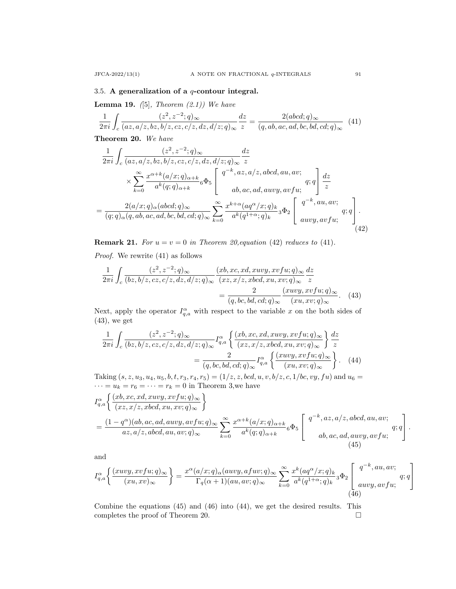## 3.5. **A generalization of a** *q***-contour integral.**

**Lemma 19.** *(*[5]*, Theorem (2.1)) We have*

$$
\frac{1}{2\pi i} \int_c \frac{(z^2, z^{-2}; q)_{\infty}}{(az, a/z, bz, b/z, cz, c/z, dz, d/z; q)_{\infty}} \frac{dz}{z} = \frac{2(abcd; q)_{\infty}}{(q, ab, ac, ad, bc, bd, cd; q)_{\infty}} \tag{41}
$$

**Theorem 20.** *We have*

$$
\frac{1}{2\pi i} \int_c \frac{(z^2, z^{-2}; q)_{\infty}}{(az, a/z, bz, b/z, cz, c/z, dz, d/z; q)_{\infty}} \frac{dz}{z}
$$
\n
$$
\times \sum_{k=0}^{\infty} \frac{x^{\alpha+k}(a/x; q)_{\alpha+k}}{a^k(q; q)_{\alpha+k}} 6\Phi_5 \left[\begin{array}{c} q^{-k}, az, a/z, abcd, au, av; \\ \\ ab, ac, ad, auvy, avfu; \end{array} \right] \frac{dz}{z}
$$
\n
$$
= \frac{2(a/x; q)_{\alpha} (abcd; q)_{\infty}}{(q; q)_{\alpha} (q, ab, ac, ad, bc, bd, cd; q)_{\infty}} \sum_{k=0}^{\infty} \frac{x^{k+\alpha} (aq^{\alpha}/x; q)_{k}}{a^k(q^{1+\alpha}; q)_{k}} 3\Phi_2 \left[\begin{array}{c} q^{-k}, au, av; \\ auvy, avfu; \end{array} q; q \right].
$$
\n(42)

**Remark 21.** *For*  $u = v = 0$  *in Theorem 20, equation* (42) *reduces to* (41)*.* 

*Proof.* We rewrite (41) as follows

$$
\frac{1}{2\pi i} \int_c \frac{(z^2, z^{-2}; q)_{\infty}}{(bz, b/z, cz, c/z, dz, d/z; q)_{\infty}} \frac{(xb, xc, xd, xuvy, xvfu; q)_{\infty}}{(xz, x/z, xbcd, xu, xv; q)_{\infty}} \frac{dz}{z}
$$
\n
$$
= \frac{2}{(q, bc, bd, cd; q)_{\infty}} \frac{(xuvy, xvfu; q)_{\infty}}{(xu, xv; q)_{\infty}}.
$$
\n(43)

Next, apply the operator  $I_{q,a}^{\alpha}$  with respect to the variable x on the both sides of (43), we get

$$
\frac{1}{2\pi i} \int_c \frac{(z^2, z^{-2}; q)_{\infty}}{(bz, b/z, cz, c/z, dz, d/z; q)_{\infty}} I_{q,a}^{\alpha} \left\{ \frac{(xb, xc, xd, xuvy, xvfu; q)_{\infty}}{(xz, x/z, xbcd, xu, xv; q)_{\infty}} \right\} \frac{dz}{z}
$$
\n
$$
= \frac{2}{(q, bc, bd, cd; q)_{\infty}} I_{q,a}^{\alpha} \left\{ \frac{(xuvy, xvfu; q)_{\infty}}{(xu, xv; q)_{\infty}} \right\}.
$$
\n(44)

Taking  $(s, z, u_3, u_4, u_5, b, t, r_3, r_4, r_5) = (1/z, z, bcd, u, v, b/z, c, 1/bc, vy, fu)$  and  $u_6 =$  $\cdots = u_k = r_6 = \cdots = r_k = 0$  in Theorem 3, we have

$$
I_{q,a}^{\alpha} \left\{ \frac{(xb, xc, xd, xuvy, xvfu; q)_{\infty}}{(xz, x/z, xbcd, xu, xv; q)_{\infty}} \right\}
$$
  
= 
$$
\frac{(1 - q^{\alpha})(ab, ac, ad, auvy, avfu; q)_{\infty}}{az, a/z, abcd, au, av; q)_{\infty}} \sum_{k=0}^{\infty} \frac{x^{\alpha+k}(a/x; q)_{\alpha+k}}{a^k(q; q)_{\alpha+k}} 6\Phi_5 \left[ \begin{array}{c} q^{-k}, az, a/z, abcd, au, av; \\ \\ ab, ac, ad, auvy, avfu; \end{array} \right].
$$
 (45)

and

$$
I_{q,a}^{\alpha} \left\{ \frac{(xuvy, xvfu; q)_{\infty}}{(xu, xv)_{\infty}} \right\} = \frac{x^{\alpha} (a/x; q)_{\alpha} (auvy, afuv; q)_{\infty}}{\Gamma_q(\alpha+1)(au, av; q)_{\infty}} \sum_{k=0}^{\infty} \frac{x^k (aq^{\alpha}/x; q)_k}{a^k (q^{1+\alpha}; q)_k} {}_3\Phi_2 \left[ \begin{array}{c} q^{-k}, au, av; \\ auvy, avfu; \end{array} \right] \tag{46}
$$

Combine the equations (45) and (46) into (44), we get the desired results. This completes the proof of Theorem 20.  $\Box$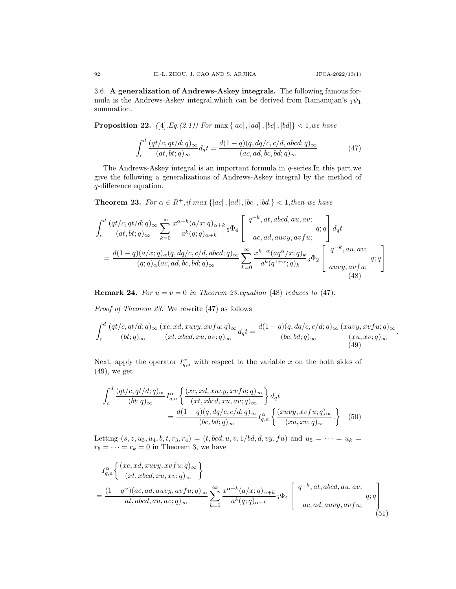3.6. **A generalization of Andrews-Askey integrals.** The following famous formula is the Andrews-Askey integral, which can be derived from Ramanujan's  $_1\psi_1$ summation.

**Proposition 22.**  $([4], Eq.(2.1))$  For max  $\{|ac|, |ad|, |bc|, |bd|\} < 1, we have$ 

$$
\int_{c}^{d} \frac{(qt/c, qt/d; q)_{\infty}}{(at, bt; q)_{\infty}} d_{q}t = \frac{d(1-q)(q, dq/c, c/d, abcd; q)_{\infty}}{(ac, ad, bc, bd; q)_{\infty}}.
$$
\n(47)

The Andrews-Askey integral is an important formula in *q*-series.In this part,we give the following a generalizations of Andrews-Askey integral by the method of *q*-difference equation.

**Theorem 23.** For  $\alpha \in R^+$ , if  $max\{|ac|, |ad|, |bc|, |bd|\} < 1$ , then we have

$$
\int_{c}^{d} \frac{(qt/c, qt/d; q)_{\infty}}{(at, bt; q)_{\infty}} \sum_{k=0}^{\infty} \frac{x^{\alpha+k}(a/x; q)_{\alpha+k}}{a^k(q; q)_{\alpha+k}} 5\Phi_{4} \left[ \begin{array}{c} q^{-k}, at, abcd, au, av; \\ ac, ad, auvy, avfu; \end{array} \right] d_{q}t
$$
\n
$$
= \frac{d(1-q)(a/x; q)_{\alpha}(q, dq/c, c/d, abcd; q)_{\infty}}{(q; q)_{\alpha}(ac, ad, bc, bd; q)_{\infty}} \sum_{k=0}^{\infty} \frac{x^{k+\alpha}(aq^{\alpha}/x; q)_{k}}{a^k(q^{1+\alpha}; q)_{k}} 3\Phi_{2} \left[ \begin{array}{c} q^{-k}, au, av; \\ auvy, avfu; \end{array} \right] (48)
$$

**Remark 24.** For  $u = v = 0$  in Theorem 23, equation (48) reduces to (47).

*Proof of Theorem 23.* We rewrite (47) as follows

$$
\int_{c}^{d} \frac{(qt/c, qt/d;q)_{\infty}}{(bt;q)_{\infty}} \frac{(xc, xd, xuvy, xvfu; q)_{\infty}}{(xt, xbcd, xu, av; q)_{\infty}} dqt = \frac{d(1-q)(q, dq/c, c/d; q)_{\infty}}{(bc, bd; q)_{\infty}} \frac{(xuvy, xvfu; q)_{\infty}}{(xu, xv; q)_{\infty}}.
$$
\n(49)

Next, apply the operator  $I_{q,a}^{\alpha}$  with respect to the variable x on the both sides of (49), we get

$$
\int_{c}^{d} \frac{(qt/c, qt/d; q)_{\infty}}{(bt; q)_{\infty}} I_{q,a}^{\alpha} \left\{ \frac{(xc, xd, xuvy, xvfu; q)_{\infty}}{(xt, xbcd, xu, av; q)_{\infty}} \right\} d_{q}t
$$
\n
$$
= \frac{d(1-q)(q, dq/c, c/d; q)_{\infty}}{(bc, bd; q)_{\infty}} I_{q,a}^{\alpha} \left\{ \frac{(xuvy, xvfu; q)_{\infty}}{(xu, xv; q)_{\infty}} \right\} (50)
$$

Letting  $(s, z, u_3, u_4, b, t, r_3, r_4) = (t, bcd, u, v, 1/bd, d, vy, fu)$  and  $u_5 = \cdots = u_k$  $r_5 = \cdots = r_k = 0$  in Theorem 3, we have

$$
I_{q,a}^{\alpha} \left\{ \frac{(xc, xd, xuvy, xvfu; q)_{\infty}}{(xt, xbcd, xu, xv; q)_{\infty}} \right\}
$$
  
= 
$$
\frac{(1 - q^{\alpha})(ac, ad, auvy, avfu; q)_{\infty}}{at, abcd, au, av; q)_{\infty}} \sum_{k=0}^{\infty} \frac{x^{\alpha+k}(a/x; q)_{\alpha+k}}{a^k(q; q)_{\alpha+k}} 5\Phi_4 \left[ \begin{array}{c} q^{-k}, at, abcd, au, av; \\ ac, ad, auvy, avfu; \end{array} \right]
$$
(51)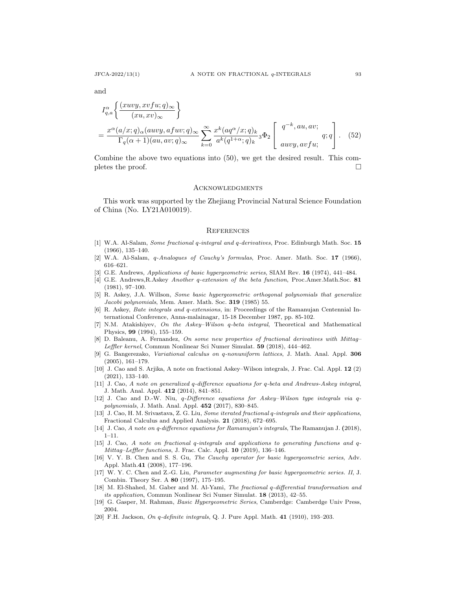and

$$
I_{q,a}^{\alpha} \left\{ \frac{(xuvy, xvfu; q)_{\infty}}{(xu, xv)_{\infty}} \right\}
$$
  
= 
$$
\frac{x^{\alpha} (a/x; q)_{\alpha} (auvy, afuv; q)_{\infty}}{\Gamma_q(\alpha + 1)(au, av; q)_{\infty}} \sum_{k=0}^{\infty} \frac{x^k (aq^{\alpha}/x; q)_k}{a^k (q^{1+\alpha}; q)_k} {}_3\Phi_2 \left[ \begin{array}{c} q^{-k}, au, av; \\ auvy, avfu; \end{array} \right].
$$
 (52)

Combine the above two equations into (50), we get the desired result. This completes the proof.  $\Box$ 

#### **ACKNOWLEDGMENTS**

This work was supported by the Zhejiang Provincial Natural Science Foundation of China (No. LY21A010019).

#### **REFERENCES**

- [1] W.A. Al-Salam, *Some fractional q-integral and q-derivatives*, Proc. Edinburgh Math. Soc. **15** (1966), 135–140.
- [2] W.A. Al-Salam, *q-Analogues of Cauchy's formulas*, Proc. Amer. Math. Soc. **17** (1966), 616–621.
- [3] G.E. Andrews, *Applications of basic hypergeometric series*, SIAM Rev. **16** (1974), 441–484.
- [4] G.E. Andrews,R.Askey *Another q-extension of the beta function*, Proc.Amer.Math.Soc. **81** (1981), 97–100.
- [5] R. Askey, J.A. Willson, *Some basic hypergeometric orthogonal polynomials that generalize Jacobi polynomials*, Mem. Amer. Math. Soc. **319** (1985) 55.
- [6] R. Askey, *Bate integrals and q-extensions*, in: Proceedings of the Ramanujan Centennial International Conference, Anna-malainagar, 15-18 December 1987, pp. 85-102.
- [7] N.M. Atakishiyev, *On the Askey–Wilson q-beta integral*, Theoretical and Mathematical Physics, **99** (1994), 155–159.
- [8] D. Baleanu, A. Fernandez, *On some new properties of fractional derivatives with Mittag– Leffler kernel*, Commun Nonlinear Sci Numer Simulat. **59** (2018), 444–462.
- [9] G. Bangerezako, *Variational calculus on q-nonuniform lattices*, J. Math. Anal. Appl. **306** (2005), 161–179.
- [10] J. Cao and S. Arjika, A note on fractional Askey–Wilson integrals, J. Frac. Cal. Appl. **12** (2) (2021), 133–140.
- [11] J. Cao, *A note on generalized q-difference equations for q-beta and Andrews-Askey integral*, J. Math. Anal. Appl. **412** (2014), 841–851.
- [12] J. Cao and D.-W. Niu, *q-Difference equations for Askey–Wilson type integrals via qpolynomials*, J. Math. Anal. Appl. **452** (2017), 830–845.
- [13] J. Cao, H. M. Srivastava, Z. G. Liu, *Some iterated fractional q-integrals and their applications*, Fractional Calculus and Applied Analysis. **21** (2018), 672–695.
- [14] J. Cao, *A note on q-difference equations for Ramanujan's integrals*, The Ramanujan J. **(**2018),  $1 - 11$ .
- [15] J. Cao, *A note on fractional q-integrals and applications to generating functions and q-Mittag–Leffler functions*, J. Frac. Calc. Appl. **10** (2019), 136–146.
- [16] V. Y. B. Chen and S. S. Gu, *The Cauchy operator for basic hypergeometric series*, Adv. Appl. Math.**41** (2008), 177–196.
- [17] W. Y. C. Chen and Z.-G. Liu, *Parameter augmenting for basic hypergeometric series. II*, J. Combin. Theory Ser. A **80** (1997), 175–195.
- [18] M. El-Shahed, M. Gaber and M. Al-Yami, *The fractional q-differential transformation and its application*, Commun Nonlinear Sci Numer Simulat. **18** (2013), 42–55.
- [19] G. Gasper, M. Rahman, *Basic Hypergeometric Series*, Camberdge: Camberdge Univ Press, 2004.
- [20] F.H. Jackson, *On q-definite integrals*, Q. J. Pure Appl. Math. **41** (1910), 193–203.